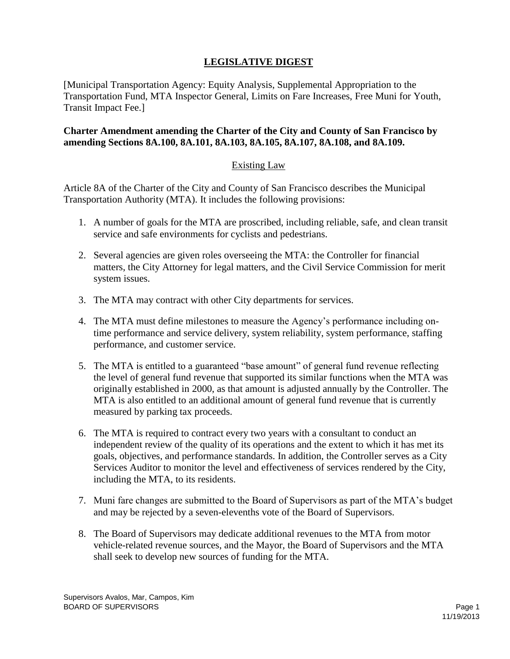## **LEGISLATIVE DIGEST**

[Municipal Transportation Agency: Equity Analysis, Supplemental Appropriation to the Transportation Fund, MTA Inspector General, Limits on Fare Increases, Free Muni for Youth, Transit Impact Fee.]

## **Charter Amendment amending the Charter of the City and County of San Francisco by amending Sections 8A.100, 8A.101, 8A.103, 8A.105, 8A.107, 8A.108, and 8A.109.**

## Existing Law

Article 8A of the Charter of the City and County of San Francisco describes the Municipal Transportation Authority (MTA). It includes the following provisions:

- 1. A number of goals for the MTA are proscribed, including reliable, safe, and clean transit service and safe environments for cyclists and pedestrians.
- 2. Several agencies are given roles overseeing the MTA: the Controller for financial matters, the City Attorney for legal matters, and the Civil Service Commission for merit system issues.
- 3. The MTA may contract with other City departments for services.
- 4. The MTA must define milestones to measure the Agency's performance including ontime performance and service delivery, system reliability, system performance, staffing performance, and customer service.
- 5. The MTA is entitled to a guaranteed "base amount" of general fund revenue reflecting the level of general fund revenue that supported its similar functions when the MTA was originally established in 2000, as that amount is adjusted annually by the Controller. The MTA is also entitled to an additional amount of general fund revenue that is currently measured by parking tax proceeds.
- 6. The MTA is required to contract every two years with a consultant to conduct an independent review of the quality of its operations and the extent to which it has met its goals, objectives, and performance standards. In addition, the Controller serves as a City Services Auditor to monitor the level and effectiveness of services rendered by the City, including the MTA, to its residents.
- 7. Muni fare changes are submitted to the Board of Supervisors as part of the MTA's budget and may be rejected by a seven-elevenths vote of the Board of Supervisors.
- 8. The Board of Supervisors may dedicate additional revenues to the MTA from motor vehicle-related revenue sources, and the Mayor, the Board of Supervisors and the MTA shall seek to develop new sources of funding for the MTA.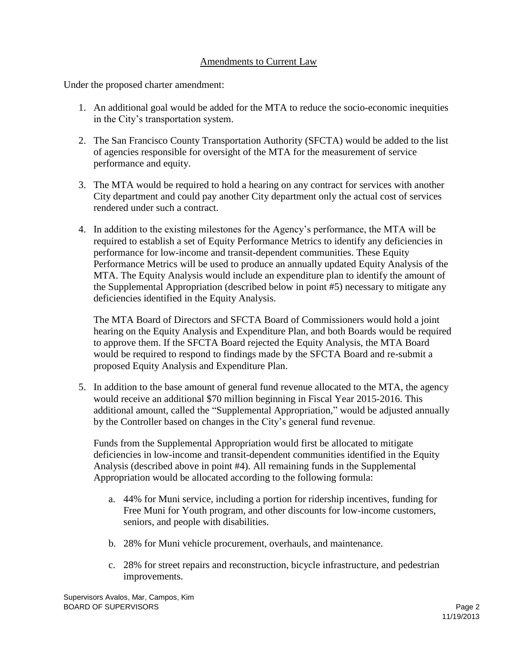## Amendments to Current Law

Under the proposed charter amendment:

- 1. An additional goal would be added for the MTA to reduce the socio-economic inequities in the City's transportation system.
- 2. The San Francisco County Transportation Authority (SFCTA) would be added to the list of agencies responsible for oversight of the MTA for the measurement of service performance and equity.
- 3. The MTA would be required to hold a hearing on any contract for services with another City department and could pay another City department only the actual cost of services rendered under such a contract.
- 4. In addition to the existing milestones for the Agency's performance, the MTA will be required to establish a set of Equity Performance Metrics to identify any deficiencies in performance for low-income and transit-dependent communities. These Equity Performance Metrics will be used to produce an annually updated Equity Analysis of the MTA. The Equity Analysis would include an expenditure plan to identify the amount of the Supplemental Appropriation (described below in point #5) necessary to mitigate any deficiencies identified in the Equity Analysis.

The MTA Board of Directors and SFCTA Board of Commissioners would hold a joint hearing on the Equity Analysis and Expenditure Plan, and both Boards would be required to approve them. If the SFCTA Board rejected the Equity Analysis, the MTA Board would be required to respond to findings made by the SFCTA Board and re-submit a proposed Equity Analysis and Expenditure Plan.

5. In addition to the base amount of general fund revenue allocated to the MTA, the agency would receive an additional \$70 million beginning in Fiscal Year 2015-2016. This additional amount, called the "Supplemental Appropriation," would be adjusted annually by the Controller based on changes in the City's general fund revenue.

Funds from the Supplemental Appropriation would first be allocated to mitigate deficiencies in low-income and transit-dependent communities identified in the Equity Analysis (described above in point #4). All remaining funds in the Supplemental Appropriation would be allocated according to the following formula:

- a. 44% for Muni service, including a portion for ridership incentives, funding for Free Muni for Youth program, and other discounts for low-income customers, seniors, and people with disabilities.
- b. 28% for Muni vehicle procurement, overhauls, and maintenance.
- c. 28% for street repairs and reconstruction, bicycle infrastructure, and pedestrian improvements.